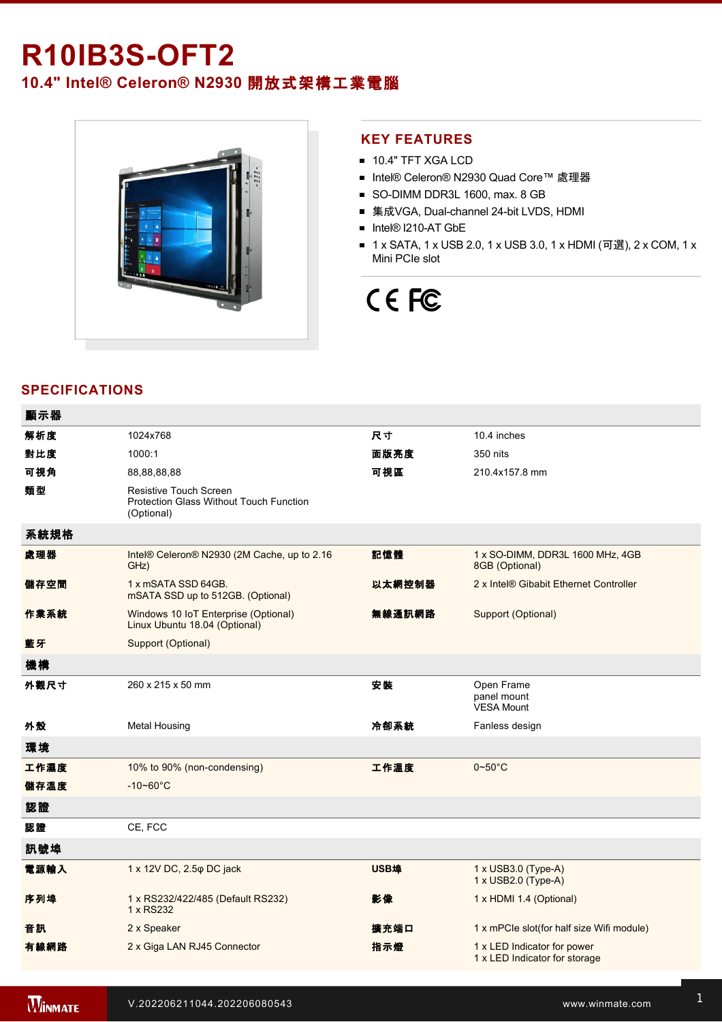## **R10IB3S-OFT2**

### **10.4" Intel® Celeron® N2930** 開放式架構工業電腦



#### **KEY FEATURES**

- **10.4" TFT XGA LCD**
- Intel® Celeron® N2930 Quad Core™ 處理器
- SO-DIMM DDR3L 1600, max. 8 GB
- 集成VGA, Dual-channel 24-bit LVDS, HDMI
- Intel® I210-AT GbE
- 1 x SATA, 1 x USB 2.0, 1 x USB 3.0, 1 x HDMI (可選), 2 x COM, 1 x Mini PCIe slot

# CE FC

#### **SPECIFICATIONS**

| 顯示器  |                                                                                               |        |                                                              |
|------|-----------------------------------------------------------------------------------------------|--------|--------------------------------------------------------------|
| 解析度  | 1024x768                                                                                      | 尺寸     | 10.4 inches                                                  |
| 對比度  | 1000:1                                                                                        | 面版亮度   | 350 nits                                                     |
| 可視角  | 88,88,88,88                                                                                   | 可視區    | 210.4x157.8 mm                                               |
| 類型   | <b>Resistive Touch Screen</b><br><b>Protection Glass Without Touch Function</b><br>(Optional) |        |                                                              |
| 系統規格 |                                                                                               |        |                                                              |
| 處理器  | Intel® Celeron® N2930 (2M Cache, up to 2.16<br>GHz)                                           | 記憶體    | 1 x SO-DIMM, DDR3L 1600 MHz, 4GB<br>8GB (Optional)           |
| 儲存空間 | 1 x mSATA SSD 64GB.<br>mSATA SSD up to 512GB. (Optional)                                      | 以太網控制器 | 2 x Intel® Gibabit Ethernet Controller                       |
| 作業系統 | Windows 10 IoT Enterprise (Optional)<br>Linux Ubuntu 18.04 (Optional)                         | 無線通訊網路 | Support (Optional)                                           |
| 藍牙   | Support (Optional)                                                                            |        |                                                              |
| 機構   |                                                                                               |        |                                                              |
| 外觀尺寸 | 260 x 215 x 50 mm                                                                             | 安装     | Open Frame<br>panel mount<br><b>VESA Mount</b>               |
| 外殼   | <b>Metal Housing</b>                                                                          | 冷卻系統   | Fanless design                                               |
| 環境   |                                                                                               |        |                                                              |
| 工作濕度 | 10% to 90% (non-condensing)                                                                   | 工作溫度   | $0\nthicksim50^{\circ}$ C                                    |
| 儲存溫度 | $-10 - 60^{\circ}C$                                                                           |        |                                                              |
| 認證   |                                                                                               |        |                                                              |
| 認證   | CE, FCC                                                                                       |        |                                                              |
| 訊號埠  |                                                                                               |        |                                                              |
| 電源輸入 | 1 x 12V DC, 2.5 $\phi$ DC jack                                                                | USB埠   | $1 \times$ USB3.0 (Type-A)<br>1 x USB2.0 (Type-A)            |
| 序列埠  | 1 x RS232/422/485 (Default RS232)<br>1 x RS232                                                | 影像     | 1 x HDMI 1.4 (Optional)                                      |
| 音訊   | 2 x Speaker                                                                                   | 擴充端口   | 1 x mPCle slot(for half size Wifi module)                    |
| 有線網路 | 2 x Giga LAN RJ45 Connector                                                                   | 指示燈    | 1 x LED Indicator for power<br>1 x LED Indicator for storage |